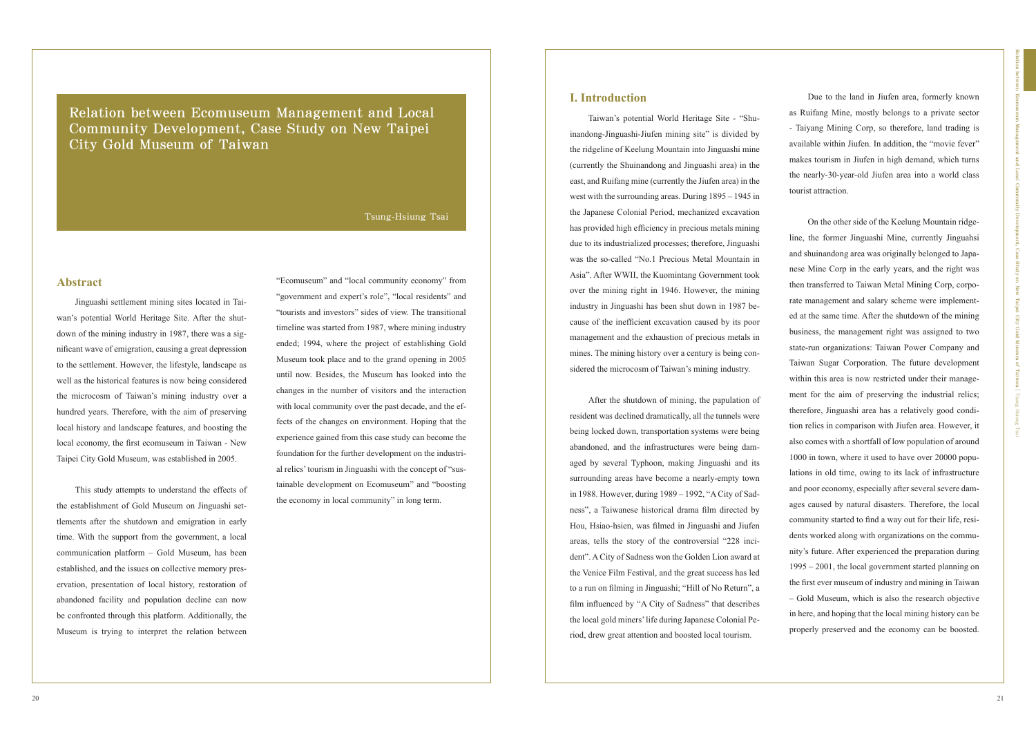## **Abstract**

Jinguashi settlement mining sites located in Taiwan's potential World Heritage Site. After the shutdown of the mining industry in 1987, there was a significant wave of emigration, causing a great depression to the settlement. However, the lifestyle, landscape as well as the historical features is now being considered the microcosm of Taiwan's mining industry over a hundred years. Therefore, with the aim of preserving local history and landscape features, and boosting the local economy, the first ecomuseum in Taiwan - New Taipei City Gold Museum, was established in 2005.

This study attempts to understand the effects of the establishment of Gold Museum on Jinguashi settlements after the shutdown and emigration in early time. With the support from the government, a local communication platform – Gold Museum, has been established, and the issues on collective memory preservation, presentation of local history, restoration of abandoned facility and population decline can now be confronted through this platform. Additionally, the Museum is trying to interpret the relation between

### Tsung-Hsiung Tsai

Relation between Ecomuseum Management and Local Community Development, Case Study on New Taipei City Gold Museum of Taiwan

> "Ecomuseum" and "local community economy" from "government and expert's role", "local residents" and "tourists and investors" sides of view. The transitional timeline was started from 1987, where mining industry ended; 1994, where the project of establishing Gold Museum took place and to the grand opening in 2005 until now. Besides, the Museum has looked into the changes in the number of visitors and the interaction with local community over the past decade, and the effects of the changes on environment. Hoping that the experience gained from this case study can become the foundation for the further development on the industrial relics' tourism in Jinguashi with the concept of "sustainable development on Ecomuseum" and "boosting the economy in local community" in long term.

## **I. Introduction**

Taiwan's potential World Heritage Site - "Shuinandong-Jinguashi-Jiufen mining site" is divided by the ridgeline of Keelung Mountain into Jinguashi mine (currently the Shuinandong and Jinguashi area) in the east, and Ruifang mine (currently the Jiufen area) in the west with the surrounding areas. During 1895 – 1945 in the Japanese Colonial Period, mechanized excavation has provided high efficiency in precious metals mining due to its industrialized processes; therefore, Jinguashi was the so-called "No.1 Precious Metal Mountain in Asia". After WWII, the Kuomintang Government took over the mining right in 1946. However, the mining industry in Jinguashi has been shut down in 1987 because of the inefficient excavation caused by its poor management and the exhaustion of precious metals in mines. The mining history over a century is being considered the microcosm of Taiwan's mining industry.

After the shutdown of mining, the papulation of resident was declined dramatically, all the tunnels were being locked down, transportation systems were being abandoned, and the infrastructures were being damaged by several Typhoon, making Jinguashi and its surrounding areas have become a nearly-empty town in 1988. However, during 1989 – 1992, "A City of Sadness", a Taiwanese historical drama film directed by Hou, Hsiao-hsien, was filmed in Jinguashi and Jiufen areas, tells the story of the controversial "228 incident". A City of Sadness won the Golden Lion award at the Venice Film Festival, and the great success has led to a run on filming in Jinguashi; "Hill of No Return", a film influenced by "A City of Sadness" that describes the local gold miners' life during Japanese Colonial Period, drew great attention and boosted local tourism.

Due to the land in Jiufen area, formerly known as Ruifang Mine, mostly belongs to a private sector - Taiyang Mining Corp, so therefore, land trading is available within Jiufen. In addition, the "movie fever" makes tourism in Jiufen in high demand, which turns the nearly-30-year-old Jiufen area into a world class tourist attraction.

On the other side of the Keelung Mountain ridgeline, the former Jinguashi Mine, currently Jinguahsi and shuinandong area was originally belonged to Japanese Mine Corp in the early years, and the right was then transferred to Taiwan Metal Mining Corp, corporate management and salary scheme were implemented at the same time. After the shutdown of the mining business, the management right was assigned to two state-run organizations: Taiwan Power Company and Taiwan Sugar Corporation. The future development within this area is now restricted under their management for the aim of preserving the industrial relics; therefore, Jinguashi area has a relatively good condition relics in comparison with Jiufen area. However, it also comes with a shortfall of low population of around 1000 in town, where it used to have over 20000 populations in old time, owing to its lack of infrastructure and poor economy, especially after several severe damages caused by natural disasters. Therefore, the local community started to find a way out for their life, residents worked along with organizations on the community's future. After experienced the preparation during 1995 – 2001, the local government started planning on the first ever museum of industry and mining in Taiwan – Gold Museum, which is also the research objective in here, and hoping that the local mining history can be properly preserved and the economy can be boosted.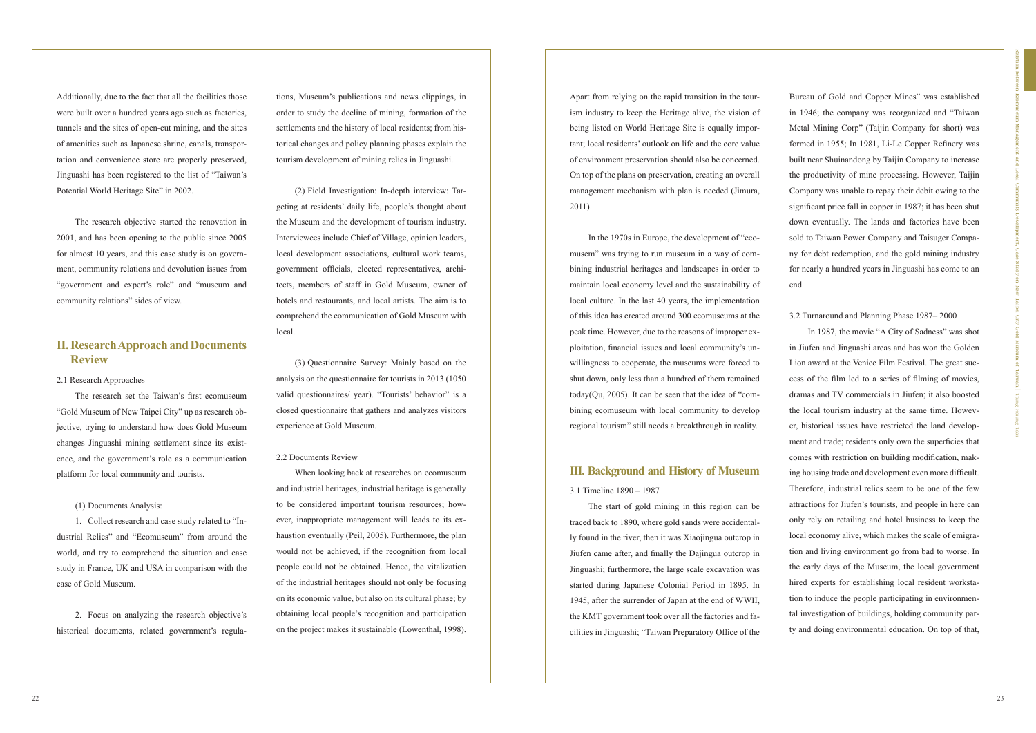Additionally, due to the fact that all the facilities those were built over a hundred years ago such as factories, tunnels and the sites of open-cut mining, and the sites of amenities such as Japanese shrine, canals, transportation and convenience store are properly preserved, Jinguashi has been registered to the list of "Taiwan's Potential World Heritage Site" in 2002.

The research objective started the renovation in 2001, and has been opening to the public since 2005 for almost 10 years, and this case study is on government, community relations and devolution issues from "government and expert's role" and "museum and community relations" sides of view.

## **II. Research Approach and Documents Review**

2.1 Research Approaches

The research set the Taiwan's first ecomuseum "Gold Museum of New Taipei City" up as research objective, trying to understand how does Gold Museum changes Jinguashi mining settlement since its existence, and the government's role as a communication platform for local community and tourists.

(1) Documents Analysis:

1. Collect research and case study related to "Industrial Relics" and "Ecomuseum" from around the world, and try to comprehend the situation and case study in France, UK and USA in comparison with the case of Gold Museum.

2. Focus on analyzing the research objective's historical documents, related government's regulations, Museum's publications and news clippings, in order to study the decline of mining, formation of the settlements and the history of local residents; from historical changes and policy planning phases explain the tourism development of mining relics in Jinguashi.

(2) Field Investigation: In-depth interview: Targeting at residents' daily life, people's thought about the Museum and the development of tourism industry. Interviewees include Chief of Village, opinion leaders, local development associations, cultural work teams, government officials, elected representatives, architects, members of staff in Gold Museum, owner of hotels and restaurants, and local artists. The aim is to comprehend the communication of Gold Museum with local.

(3) Questionnaire Survey: Mainly based on the analysis on the questionnaire for tourists in 2013 (1050 valid questionnaires/ year). "Tourists' behavior" is a closed questionnaire that gathers and analyzes visitors experience at Gold Museum.

#### 2.2 Documents Review

When looking back at researches on ecomuseum and industrial heritages, industrial heritage is generally to be considered important tourism resources; however, inappropriate management will leads to its exhaustion eventually (Peil, 2005). Furthermore, the plan would not be achieved, if the recognition from local people could not be obtained. Hence, the vitalization of the industrial heritages should not only be focusing on its economic value, but also on its cultural phase; by obtaining local people's recognition and participation on the project makes it sustainable (Lowenthal, 1998).

Apart from relying on the rapid transition in the tourism industry to keep the Heritage alive, the vision of being listed on World Heritage Site is equally important; local residents' outlook on life and the core value of environment preservation should also be concerned. On top of the plans on preservation, creating an overall management mechanism with plan is needed (Jimura, 2011).

In the 1970s in Europe, the development of "ecomusem" was trying to run museum in a way of combining industrial heritages and landscapes in order to maintain local economy level and the sustainability of local culture. In the last 40 years, the implementation of this idea has created around 300 ecomuseums at the peak time. However, due to the reasons of improper exploitation, financial issues and local community's unwillingness to cooperate, the museums were forced to shut down, only less than a hundred of them remained today(Qu, 2005). It can be seen that the idea of "combining ecomuseum with local community to develop regional tourism" still needs a breakthrough in reality.

## **III. Background and History of Museum**

#### 3.1 Timeline 1890 – 1987

The start of gold mining in this region can be traced back to 1890, where gold sands were accidentally found in the river, then it was Xiaojingua outcrop in Jiufen came after, and finally the Dajingua outcrop in Jinguashi; furthermore, the large scale excavation was started during Japanese Colonial Period in 1895. In 1945, after the surrender of Japan at the end of WWII, the KMT government took over all the factories and facilities in Jinguashi; "Taiwan Preparatory Office of the

Bureau of Gold and Copper Mines" was established in 1946; the company was reorganized and "Taiwan Metal Mining Corp" (Taijin Company for short) was formed in 1955; In 1981, Li-Le Copper Refinery was built near Shuinandong by Taijin Company to increase the productivity of mine processing. However, Taijin Company was unable to repay their debit owing to the significant price fall in copper in 1987; it has been shut down eventually. The lands and factories have been sold to Taiwan Power Company and Taisuger Company for debt redemption, and the gold mining industry for nearly a hundred years in Jinguashi has come to an end.

### 3.2 Turnaround and Planning Phase 1987– 2000

In 1987, the movie "A City of Sadness" was shot in Jiufen and Jinguashi areas and has won the Golden Lion award at the Venice Film Festival. The great success of the film led to a series of filming of movies, dramas and TV commercials in Jiufen; it also boosted the local tourism industry at the same time. However, historical issues have restricted the land development and trade; residents only own the superficies that comes with restriction on building modification, making housing trade and development even more difficult. Therefore, industrial relics seem to be one of the few attractions for Jiufen's tourists, and people in here can only rely on retailing and hotel business to keep the local economy alive, which makes the scale of emigration and living environment go from bad to worse. In the early days of the Museum, the local government hired experts for establishing local resident workstation to induce the people participating in environmental investigation of buildings, holding community party and doing environmental education. On top of that,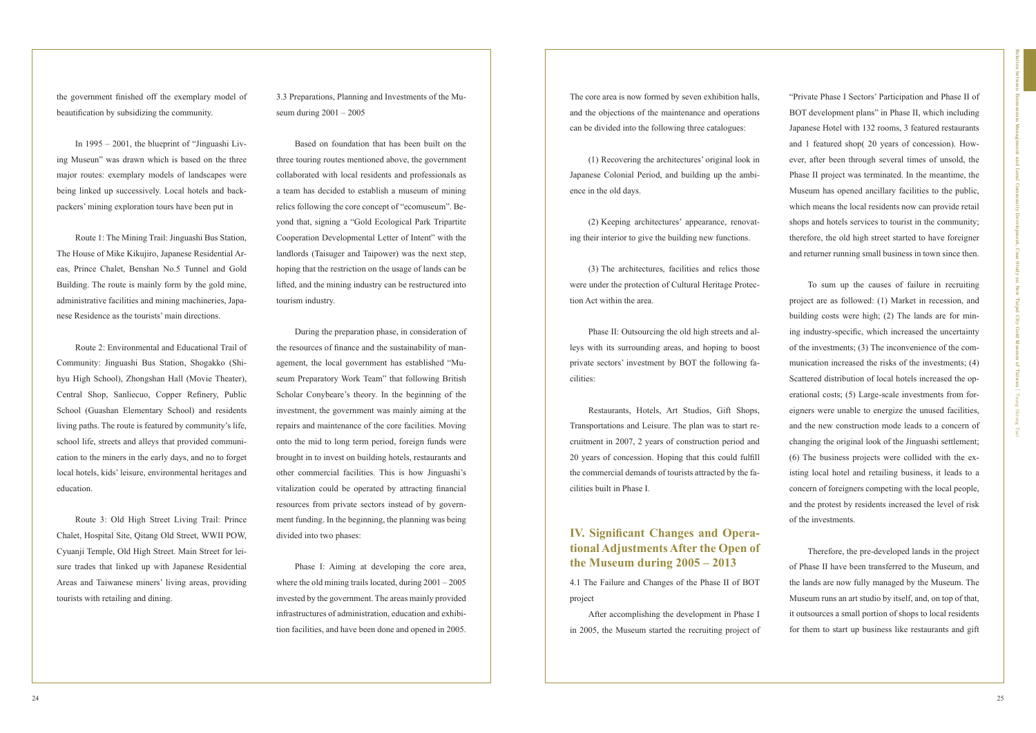the government finished off the exemplary model of beautification by subsidizing the community.

In 1995 – 2001, the blueprint of "Jinguashi Living Museun" was drawn which is based on the three major routes: exemplary models of landscapes were being linked up successively. Local hotels and backpackers' mining exploration tours have been put in

Route 1: The Mining Trail: Jinguashi Bus Station, The House of Mike Kikujiro, Japanese Residential Areas, Prince Chalet, Benshan No.5 Tunnel and Gold Building. The route is mainly form by the gold mine, administrative facilities and mining machineries, Japanese Residence as the tourists' main directions.

Route 2: Environmental and Educational Trail of Community: Jinguashi Bus Station, Shogakko (Shihyu High School), Zhongshan Hall (Movie Theater), Central Shop, Sanliecuo, Copper Refinery, Public School (Guashan Elementary School) and residents living paths. The route is featured by community's life, school life, streets and alleys that provided communication to the miners in the early days, and no to forget local hotels, kids' leisure, environmental heritages and education.

Route 3: Old High Street Living Trail: Prince Chalet, Hospital Site, Qitang Old Street, WWII POW, Cyuanji Temple, Old High Street. Main Street for leisure trades that linked up with Japanese Residential Areas and Taiwanese miners' living areas, providing tourists with retailing and dining.

3.3 Preparations, Planning and Investments of the Museum during 2001 – 2005

Based on foundation that has been built on the three touring routes mentioned above, the government collaborated with local residents and professionals as a team has decided to establish a museum of mining relics following the core concept of "ecomuseum". Beyond that, signing a "Gold Ecological Park Tripartite Cooperation Developmental Letter of Intent" with the landlords (Taisuger and Taipower) was the next step, hoping that the restriction on the usage of lands can be lifted, and the mining industry can be restructured into tourism industry.

During the preparation phase, in consideration of the resources of finance and the sustainability of management, the local government has established "Museum Preparatory Work Team" that following British Scholar Conybeare's theory. In the beginning of the investment, the government was mainly aiming at the repairs and maintenance of the core facilities. Moving onto the mid to long term period, foreign funds were brought in to invest on building hotels, restaurants and other commercial facilities. This is how Jinguashi's vitalization could be operated by attracting financial resources from private sectors instead of by government funding. In the beginning, the planning was being divided into two phases:

Phase I: Aiming at developing the core area, where the old mining trails located, during  $2001 - 2005$ invested by the government. The areas mainly provided infrastructures of administration, education and exhibition facilities, and have been done and opened in 2005.

The core area is now formed by seven exhibition halls, and the objections of the maintenance and operations can be divided into the following three catalogues:

(1) Recovering the architectures' original look in Japanese Colonial Period, and building up the ambience in the old days.

(2) Keeping architectures' appearance, renovating their interior to give the building new functions.

(3) The architectures, facilities and relics those were under the protection of Cultural Heritage Protection Act within the area.

Phase II: Outsourcing the old high streets and alleys with its surrounding areas, and hoping to boost private sectors' investment by BOT the following facilities:

Restaurants, Hotels, Art Studios, Gift Shops, Transportations and Leisure. The plan was to start recruitment in 2007, 2 years of construction period and 20 years of concession. Hoping that this could fulfill the commercial demands of tourists attracted by the facilities built in Phase I.

# **IV. Significant Changes and Operational Adjustments After the Open of the Museum during 2005 – 2013**

4.1 The Failure and Changes of the Phase II of BOT project

After accomplishing the development in Phase I in 2005, the Museum started the recruiting project of

"Private Phase I Sectors' Participation and Phase II of BOT development plans" in Phase II, which including Japanese Hotel with 132 rooms, 3 featured restaurants and 1 featured shop( 20 years of concession). However, after been through several times of unsold, the Phase II project was terminated. In the meantime, the Museum has opened ancillary facilities to the public, which means the local residents now can provide retail shops and hotels services to tourist in the community; therefore, the old high street started to have foreigner and returner running small business in town since then.

To sum up the causes of failure in recruiting project are as followed: (1) Market in recession, and building costs were high; (2) The lands are for mining industry-specific, which increased the uncertainty of the investments; (3) The inconvenience of the communication increased the risks of the investments; (4) Scattered distribution of local hotels increased the operational costs; (5) Large-scale investments from foreigners were unable to energize the unused facilities, and the new construction mode leads to a concern of changing the original look of the Jinguashi settlement; (6) The business projects were collided with the existing local hotel and retailing business, it leads to a concern of foreigners competing with the local people, and the protest by residents increased the level of risk of the investments.

Therefore, the pre-developed lands in the project of Phase II have been transferred to the Museum, and the lands are now fully managed by the Museum. The Museum runs an art studio by itself, and, on top of that, it outsources a small portion of shops to local residents for them to start up business like restaurants and gift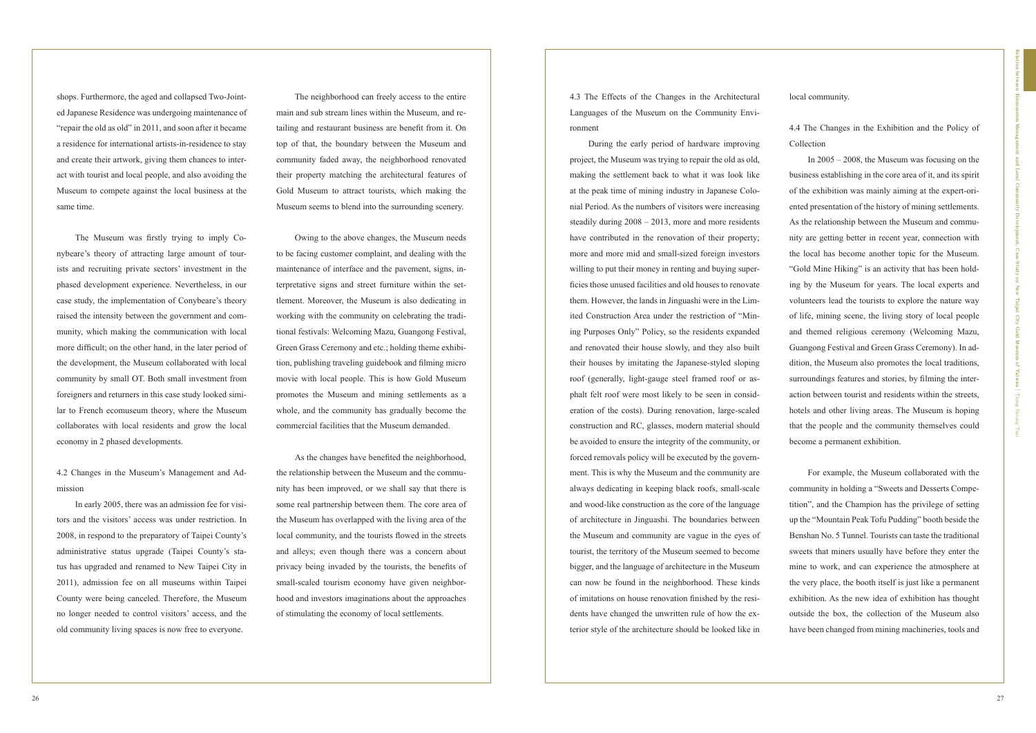shops. Furthermore, the aged and collapsed Two-Jointed Japanese Residence was undergoing maintenance of "repair the old as old" in 2011, and soon after it became a residence for international artists-in-residence to stay and create their artwork, giving them chances to interact with tourist and local people, and also avoiding the Museum to compete against the local business at the same time.

The Museum was firstly trying to imply Conybeare's theory of attracting large amount of tourists and recruiting private sectors' investment in the phased development experience. Nevertheless, in our case study, the implementation of Conybeare's theory raised the intensity between the government and community, which making the communication with local more difficult; on the other hand, in the later period of the development, the Museum collaborated with local community by small OT. Both small investment from foreigners and returners in this case study looked similar to French ecomuseum theory, where the Museum collaborates with local residents and grow the local economy in 2 phased developments.

4.2 Changes in the Museum's Management and Admission

In early 2005, there was an admission fee for visitors and the visitors' access was under restriction. In 2008, in respond to the preparatory of Taipei County's administrative status upgrade (Taipei County's status has upgraded and renamed to New Taipei City in 2011), admission fee on all museums within Taipei County were being canceled. Therefore, the Museum no longer needed to control visitors' access, and the old community living spaces is now free to everyone.

The neighborhood can freely access to the entire main and sub stream lines within the Museum, and retailing and restaurant business are benefit from it. On top of that, the boundary between the Museum and community faded away, the neighborhood renovated their property matching the architectural features of Gold Museum to attract tourists, which making the Museum seems to blend into the surrounding scenery.

Owing to the above changes, the Museum needs to be facing customer complaint, and dealing with the maintenance of interface and the pavement, signs, interpretative signs and street furniture within the settlement. Moreover, the Museum is also dedicating in working with the community on celebrating the traditional festivals: Welcoming Mazu, Guangong Festival, Green Grass Ceremony and etc.; holding theme exhibition, publishing traveling guidebook and filming micro movie with local people. This is how Gold Museum promotes the Museum and mining settlements as a whole, and the community has gradually become the commercial facilities that the Museum demanded.

As the changes have benefited the neighborhood, the relationship between the Museum and the community has been improved, or we shall say that there is some real partnership between them. The core area of the Museum has overlapped with the living area of the local community, and the tourists flowed in the streets and alleys; even though there was a concern about privacy being invaded by the tourists, the benefits of small-scaled tourism economy have given neighborhood and investors imaginations about the approaches of stimulating the economy of local settlements.

4.3 The Effects of the Changes in the Architectural Languages of the Museum on the Community Environment

During the early period of hardware improving project, the Museum was trying to repair the old as old, making the settlement back to what it was look like at the peak time of mining industry in Japanese Colonial Period. As the numbers of visitors were increasing steadily during 2008 – 2013, more and more residents have contributed in the renovation of their property; more and more mid and small-sized foreign investors willing to put their money in renting and buying superficies those unused facilities and old houses to renovate them. However, the lands in Jinguashi were in the Limited Construction Area under the restriction of "Mining Purposes Only" Policy, so the residents expanded and renovated their house slowly, and they also built their houses by imitating the Japanese-styled sloping roof (generally, light-gauge steel framed roof or asphalt felt roof were most likely to be seen in consideration of the costs). During renovation, large-scaled construction and RC, glasses, modern material should be avoided to ensure the integrity of the community, or forced removals policy will be executed by the government. This is why the Museum and the community are always dedicating in keeping black roofs, small-scale and wood-like construction as the core of the language of architecture in Jinguashi. The boundaries between the Museum and community are vague in the eyes of tourist, the territory of the Museum seemed to become bigger, and the language of architecture in the Museum can now be found in the neighborhood. These kinds of imitations on house renovation finished by the residents have changed the unwritten rule of how the exterior style of the architecture should be looked like in

local community.

4.4 The Changes in the Exhibition and the Policy of Collection

In 2005 – 2008, the Museum was focusing on the business establishing in the core area of it, and its spirit of the exhibition was mainly aiming at the expert-oriented presentation of the history of mining settlements. As the relationship between the Museum and community are getting better in recent year, connection with the local has become another topic for the Museum. "Gold Mine Hiking" is an activity that has been holding by the Museum for years. The local experts and volunteers lead the tourists to explore the nature way of life, mining scene, the living story of local people and themed religious ceremony (Welcoming Mazu, Guangong Festival and Green Grass Ceremony). In addition, the Museum also promotes the local traditions, surroundings features and stories, by filming the interaction between tourist and residents within the streets, hotels and other living areas. The Museum is hoping that the people and the community themselves could become a permanent exhibition.

For example, the Museum collaborated with the community in holding a "Sweets and Desserts Competition", and the Champion has the privilege of setting up the "Mountain Peak Tofu Pudding" booth beside the Benshan No. 5 Tunnel. Tourists can taste the traditional sweets that miners usually have before they enter the mine to work, and can experience the atmosphere at the very place, the booth itself is just like a permanent exhibition. As the new idea of exhibition has thought outside the box, the collection of the Museum also have been changed from mining machineries, tools and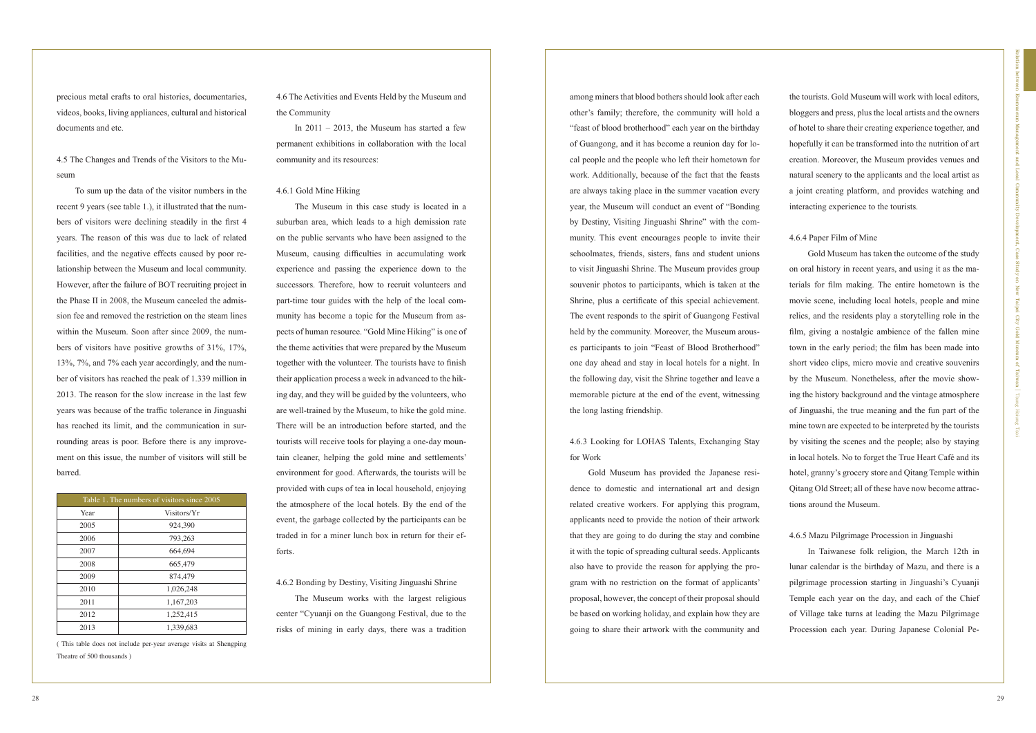precious metal crafts to oral histories, documentaries, videos, books, living appliances, cultural and historical documents and etc.

## 4.5 The Changes and Trends of the Visitors to the Museum

In  $2011 - 2013$ , the Museum has started a few permanent exhibitions in collaboration with the local community and its resources:

To sum up the data of the visitor numbers in the recent 9 years (see table 1.), it illustrated that the numbers of visitors were declining steadily in the first 4 years. The reason of this was due to lack of related facilities, and the negative effects caused by poor relationship between the Museum and local community. However, after the failure of BOT recruiting project in the Phase II in 2008, the Museum canceled the admission fee and removed the restriction on the steam lines within the Museum. Soon after since 2009, the numbers of visitors have positive growths of 31%, 17%, 13%, 7%, and 7% each year accordingly, and the number of visitors has reached the peak of 1.339 million in 2013. The reason for the slow increase in the last few years was because of the traffic tolerance in Jinguashi has reached its limit, and the communication in surrounding areas is poor. Before there is any improvement on this issue, the number of visitors will still be barred.

4.6 The Activities and Events Held by the Museum and the Community

#### 4.6.1 Gold Mine Hiking

The Museum in this case study is located in a suburban area, which leads to a high demission rate on the public servants who have been assigned to the Museum, causing difficulties in accumulating work experience and passing the experience down to the successors. Therefore, how to recruit volunteers and part-time tour guides with the help of the local community has become a topic for the Museum from aspects of human resource. "Gold Mine Hiking" is one of the theme activities that were prepared by the Museum together with the volunteer. The tourists have to finish their application process a week in advanced to the hiking day, and they will be guided by the volunteers, who are well-trained by the Museum, to hike the gold mine. There will be an introduction before started, and the tourists will receive tools for playing a one-day mountain cleaner, helping the gold mine and settlements' environment for good. Afterwards, the tourists will be provided with cups of tea in local household, enjoying the atmosphere of the local hotels. By the end of the event, the garbage collected by the participants can be traded in for a miner lunch box in return for their efforts.

#### 4.6.2 Bonding by Destiny, Visiting Jinguashi Shrine

The Museum works with the largest religious center "Cyuanji on the Guangong Festival, due to the risks of mining in early days, there was a tradition

among miners that blood bothers should look after each other's family; therefore, the community will hold a "feast of blood brotherhood" each year on the birthday of Guangong, and it has become a reunion day for local people and the people who left their hometown for work. Additionally, because of the fact that the feasts are always taking place in the summer vacation every year, the Museum will conduct an event of "Bonding by Destiny, Visiting Jinguashi Shrine" with the community. This event encourages people to invite their schoolmates, friends, sisters, fans and student unions to visit Jinguashi Shrine. The Museum provides group souvenir photos to participants, which is taken at the Shrine, plus a certificate of this special achievement. The event responds to the spirit of Guangong Festival held by the community. Moreover, the Museum arouses participants to join "Feast of Blood Brotherhood" one day ahead and stay in local hotels for a night. In the following day, visit the Shrine together and leave a memorable picture at the end of the event, witnessing the long lasting friendship.

## 4.6.3 Looking for LOHAS Talents, Exchanging Stay for Work

Gold Museum has provided the Japanese residence to domestic and international art and design related creative workers. For applying this program, applicants need to provide the notion of their artwork that they are going to do during the stay and combine it with the topic of spreading cultural seeds. Applicants also have to provide the reason for applying the program with no restriction on the format of applicants' proposal, however, the concept of their proposal should be based on working holiday, and explain how they are going to share their artwork with the community and

the tourists. Gold Museum will work with local editors, bloggers and press, plus the local artists and the owners of hotel to share their creating experience together, and hopefully it can be transformed into the nutrition of art creation. Moreover, the Museum provides venues and natural scenery to the applicants and the local artist as a joint creating platform, and provides watching and interacting experience to the tourists.

#### 4.6.4 Paper Film of Mine

Gold Museum has taken the outcome of the study on oral history in recent years, and using it as the materials for film making. The entire hometown is the movie scene, including local hotels, people and mine relics, and the residents play a storytelling role in the film, giving a nostalgic ambience of the fallen mine town in the early period; the film has been made into short video clips, micro movie and creative souvenirs by the Museum. Nonetheless, after the movie showing the history background and the vintage atmosphere of Jinguashi, the true meaning and the fun part of the mine town are expected to be interpreted by the tourists by visiting the scenes and the people; also by staying in local hotels. No to forget the True Heart Café and its hotel, granny's grocery store and Qitang Temple within Qitang Old Street; all of these have now become attractions around the Museum.

#### 4.6.5 Mazu Pilgrimage Procession in Jinguashi

In Taiwanese folk religion, the March 12th in lunar calendar is the birthday of Mazu, and there is a pilgrimage procession starting in Jinguashi's Cyuanji Temple each year on the day, and each of the Chief of Village take turns at leading the Mazu Pilgrimage Procession each year. During Japanese Colonial Pe-

| Table 1. The numbers of visitors since 2005 |             |
|---------------------------------------------|-------------|
| Year                                        | Visitors/Yr |
| 2005                                        | 924,390     |
| 2006                                        | 793,263     |
| 2007                                        | 664,694     |
| 2008                                        | 665,479     |
| 2009                                        | 874,479     |
| 2010                                        | 1,026,248   |
| 2011                                        | 1,167,203   |
| 2012                                        | 1,252,415   |
| 2013                                        | 1,339,683   |

( This table does not include per-year average visits at Shengping Theatre of 500 thousands )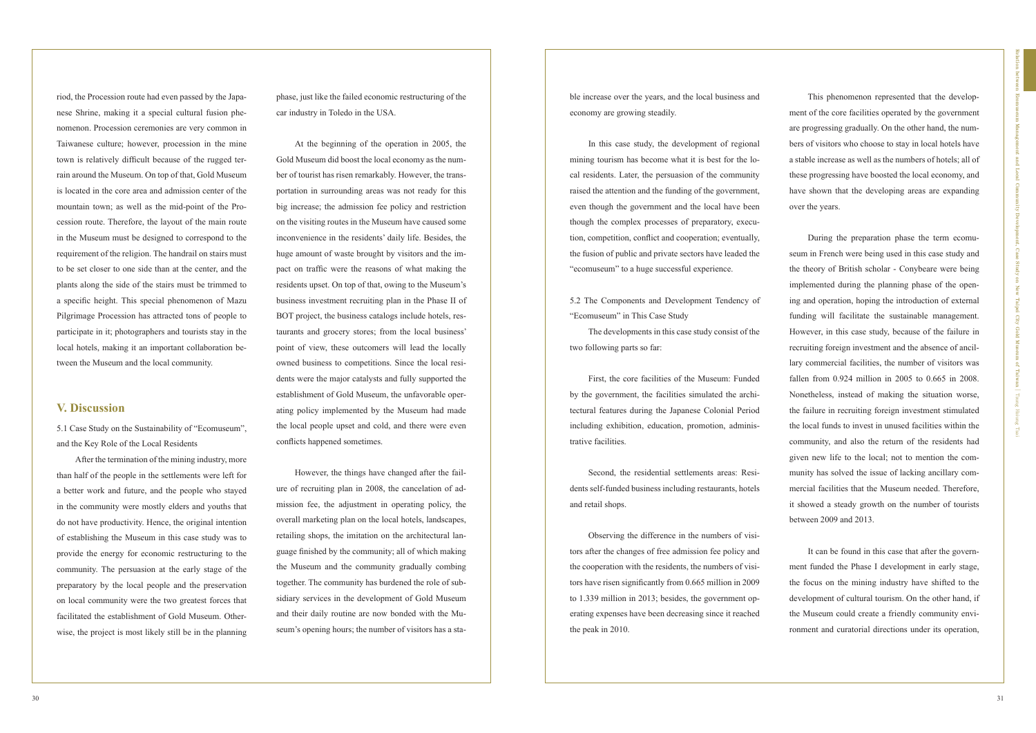riod, the Procession route had even passed by the Japanese Shrine, making it a special cultural fusion phenomenon. Procession ceremonies are very common in Taiwanese culture; however, procession in the mine town is relatively difficult because of the rugged terrain around the Museum. On top of that, Gold Museum is located in the core area and admission center of the mountain town; as well as the mid-point of the Procession route. Therefore, the layout of the main route in the Museum must be designed to correspond to the requirement of the religion. The handrail on stairs must to be set closer to one side than at the center, and the plants along the side of the stairs must be trimmed to a specific height. This special phenomenon of Mazu Pilgrimage Procession has attracted tons of people to participate in it; photographers and tourists stay in the local hotels, making it an important collaboration between the Museum and the local community.

## **V. Discussion**

5.1 Case Study on the Sustainability of "Ecomuseum", and the Key Role of the Local Residents

After the termination of the mining industry, more than half of the people in the settlements were left for a better work and future, and the people who stayed in the community were mostly elders and youths that do not have productivity. Hence, the original intention of establishing the Museum in this case study was to provide the energy for economic restructuring to the community. The persuasion at the early stage of the preparatory by the local people and the preservation on local community were the two greatest forces that facilitated the establishment of Gold Museum. Otherwise, the project is most likely still be in the planning phase, just like the failed economic restructuring of the car industry in Toledo in the USA.

At the beginning of the operation in 2005, the Gold Museum did boost the local economy as the number of tourist has risen remarkably. However, the transportation in surrounding areas was not ready for this big increase; the admission fee policy and restriction on the visiting routes in the Museum have caused some inconvenience in the residents' daily life. Besides, the huge amount of waste brought by visitors and the impact on traffic were the reasons of what making the residents upset. On top of that, owing to the Museum's business investment recruiting plan in the Phase II of BOT project, the business catalogs include hotels, restaurants and grocery stores; from the local business' point of view, these outcomers will lead the locally owned business to competitions. Since the local residents were the major catalysts and fully supported the establishment of Gold Museum, the unfavorable operating policy implemented by the Museum had made the local people upset and cold, and there were even conflicts happened sometimes.

However, the things have changed after the failure of recruiting plan in 2008, the cancelation of admission fee, the adjustment in operating policy, the overall marketing plan on the local hotels, landscapes, retailing shops, the imitation on the architectural language finished by the community; all of which making the Museum and the community gradually combing together. The community has burdened the role of subsidiary services in the development of Gold Museum and their daily routine are now bonded with the Museum's opening hours; the number of visitors has a stable increase over the years, and the local business and economy are growing steadily.

In this case study, the development of regional mining tourism has become what it is best for the local residents. Later, the persuasion of the community raised the attention and the funding of the government, even though the government and the local have been though the complex processes of preparatory, execution, competition, conflict and cooperation; eventually, the fusion of public and private sectors have leaded the "ecomuseum" to a huge successful experience.

5.2 The Components and Development Tendency of "Ecomuseum" in This Case Study

The developments in this case study consist of the two following parts so far:

First, the core facilities of the Museum: Funded by the government, the facilities simulated the architectural features during the Japanese Colonial Period including exhibition, education, promotion, administrative facilities.

Second, the residential settlements areas: Residents self-funded business including restaurants, hotels and retail shops.

Observing the difference in the numbers of visitors after the changes of free admission fee policy and the cooperation with the residents, the numbers of visitors have risen significantly from 0.665 million in 2009 to 1.339 million in 2013; besides, the government operating expenses have been decreasing since it reached the peak in 2010.

This phenomenon represented that the development of the core facilities operated by the government are progressing gradually. On the other hand, the numbers of visitors who choose to stay in local hotels have a stable increase as well as the numbers of hotels; all of these progressing have boosted the local economy, and have shown that the developing areas are expanding over the years.

During the preparation phase the term ecomuseum in French were being used in this case study and the theory of British scholar - Conybeare were being implemented during the planning phase of the opening and operation, hoping the introduction of external funding will facilitate the sustainable management. However, in this case study, because of the failure in recruiting foreign investment and the absence of ancillary commercial facilities, the number of visitors was fallen from 0.924 million in 2005 to 0.665 in 2008. Nonetheless, instead of making the situation worse, the failure in recruiting foreign investment stimulated the local funds to invest in unused facilities within the community, and also the return of the residents had given new life to the local; not to mention the community has solved the issue of lacking ancillary commercial facilities that the Museum needed. Therefore, it showed a steady growth on the number of tourists between 2009 and 2013.

It can be found in this case that after the government funded the Phase I development in early stage, the focus on the mining industry have shifted to the development of cultural tourism. On the other hand, if the Museum could create a friendly community environment and curatorial directions under its operation,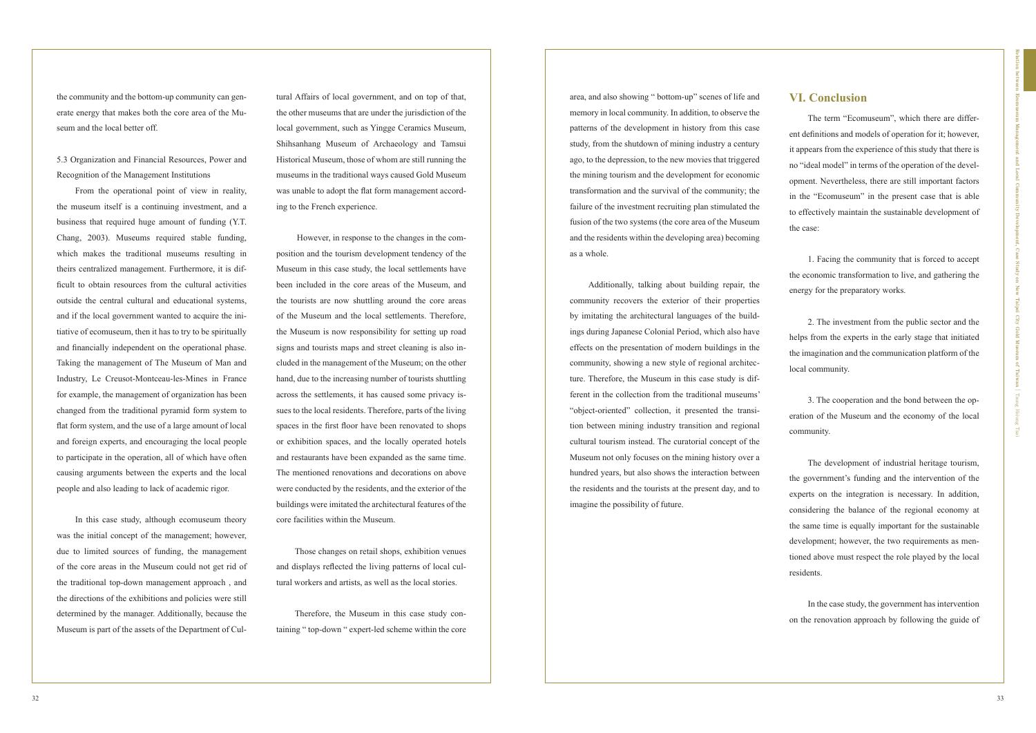the community and the bottom-up community can generate energy that makes both the core area of the Museum and the local better off.

# 5.3 Organization and Financial Resources, Power and Recognition of the Management Institutions

From the operational point of view in reality, the museum itself is a continuing investment, and a business that required huge amount of funding (Y.T. Chang, 2003). Museums required stable funding, which makes the traditional museums resulting in theirs centralized management. Furthermore, it is difficult to obtain resources from the cultural activities outside the central cultural and educational systems, and if the local government wanted to acquire the initiative of ecomuseum, then it has to try to be spiritually and financially independent on the operational phase. Taking the management of The Museum of Man and Industry, Le Creusot-Montceau-les-Mines in France for example, the management of organization has been changed from the traditional pyramid form system to flat form system, and the use of a large amount of local and foreign experts, and encouraging the local people to participate in the operation, all of which have often causing arguments between the experts and the local people and also leading to lack of academic rigor.

In this case study, although ecomuseum theory was the initial concept of the management; however, due to limited sources of funding, the management of the core areas in the Museum could not get rid of the traditional top-down management approach , and the directions of the exhibitions and policies were still determined by the manager. Additionally, because the Museum is part of the assets of the Department of Cul-

tural Affairs of local government, and on top of that, the other museums that are under the jurisdiction of the local government, such as Yingge Ceramics Museum, Shihsanhang Museum of Archaeology and Tamsui Historical Museum, those of whom are still running the museums in the traditional ways caused Gold Museum was unable to adopt the flat form management according to the French experience.

 However, in response to the changes in the composition and the tourism development tendency of the Museum in this case study, the local settlements have been included in the core areas of the Museum, and the tourists are now shuttling around the core areas of the Museum and the local settlements. Therefore, the Museum is now responsibility for setting up road signs and tourists maps and street cleaning is also included in the management of the Museum; on the other hand, due to the increasing number of tourists shuttling across the settlements, it has caused some privacy issues to the local residents. Therefore, parts of the living spaces in the first floor have been renovated to shops or exhibition spaces, and the locally operated hotels and restaurants have been expanded as the same time. The mentioned renovations and decorations on above were conducted by the residents, and the exterior of the buildings were imitated the architectural features of the core facilities within the Museum.

Those changes on retail shops, exhibition venues and displays reflected the living patterns of local cultural workers and artists, as well as the local stories.

Therefore, the Museum in this case study containing " top-down " expert-led scheme within the core area, and also showing " bottom-up" scenes of life and memory in local community. In addition, to observe the patterns of the development in history from this case study, from the shutdown of mining industry a century ago, to the depression, to the new movies that triggered the mining tourism and the development for economic transformation and the survival of the community; the failure of the investment recruiting plan stimulated the fusion of the two systems (the core area of the Museum and the residents within the developing area) becoming as a whole.

Additionally, talking about building repair, the community recovers the exterior of their properties by imitating the architectural languages of the buildings during Japanese Colonial Period, which also have effects on the presentation of modern buildings in the community, showing a new style of regional architecture. Therefore, the Museum in this case study is different in the collection from the traditional museums' "object-oriented" collection, it presented the transition between mining industry transition and regional cultural tourism instead. The curatorial concept of the Museum not only focuses on the mining history over a hundred years, but also shows the interaction between the residents and the tourists at the present day, and to imagine the possibility of future.

## **VI. Conclusion**

The term "Ecomuseum", which there are different definitions and models of operation for it; however, it appears from the experience of this study that there is no "ideal model" in terms of the operation of the development. Nevertheless, there are still important factors in the "Ecomuseum" in the present case that is able to effectively maintain the sustainable development of the case:

1. Facing the community that is forced to accept the economic transformation to live, and gathering the energy for the preparatory works.

2. The investment from the public sector and the helps from the experts in the early stage that initiated the imagination and the communication platform of the local community.

3. The cooperation and the bond between the operation of the Museum and the economy of the local community.

The development of industrial heritage tourism, the government's funding and the intervention of the experts on the integration is necessary. In addition, considering the balance of the regional economy at the same time is equally important for the sustainable development; however, the two requirements as mentioned above must respect the role played by the local residents.

In the case study, the government has intervention on the renovation approach by following the guide of